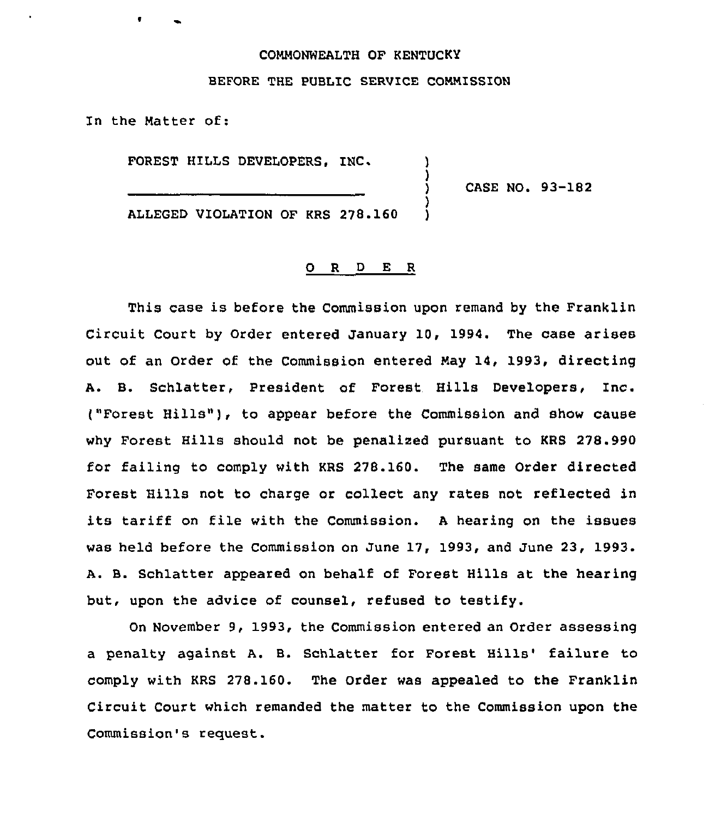### COMMONWEALTH OF KENTUCKY

#### BEFORE THE PUBLIC SERVICE COMMISSION

In the Matter of:

FOREST HILLS DEVELOPERS. INC.

) CASE NO. 93-182

ALLEGED VIOLATION OF KRS 278.160 )

#### 0 <sup>R</sup> <sup>D</sup> E <sup>R</sup>

)<br>)

)

This case is before the Commission upon remand by the Franklin Circuit Court by Order entered January 10, 1994. The case arises out of an Order of the Commission entered May 14, 1993, directing A. B. Schlatter, President of Forest Hills Developers, Inc. ("Forest Hills"), to appear before the Commission and show cause why Forest Hills should not be penalised pursuant to KRS 278.990 for failing to comply with KRS 278.160. The same Order directed Forest Hills not to charge or collect any rates not reflected in its tariff on file with the Commission. <sup>A</sup> hearing on the issues was held before the Commission on June 17, 1993, and June 23, 1993. A. B. Schlatter appeared on behalf of Forest Hills at the hearing but, upon the advice of counsel, refused to testify.

On November 9, 1993, the Commission entered an Order assessing a penalty against A. B. Schlatter for Forest Hills' failure to comply with KRS 278.160. The Order was appealed to the Franklin Circuit Court which remanded the matter to the Commission upon the Commission's request.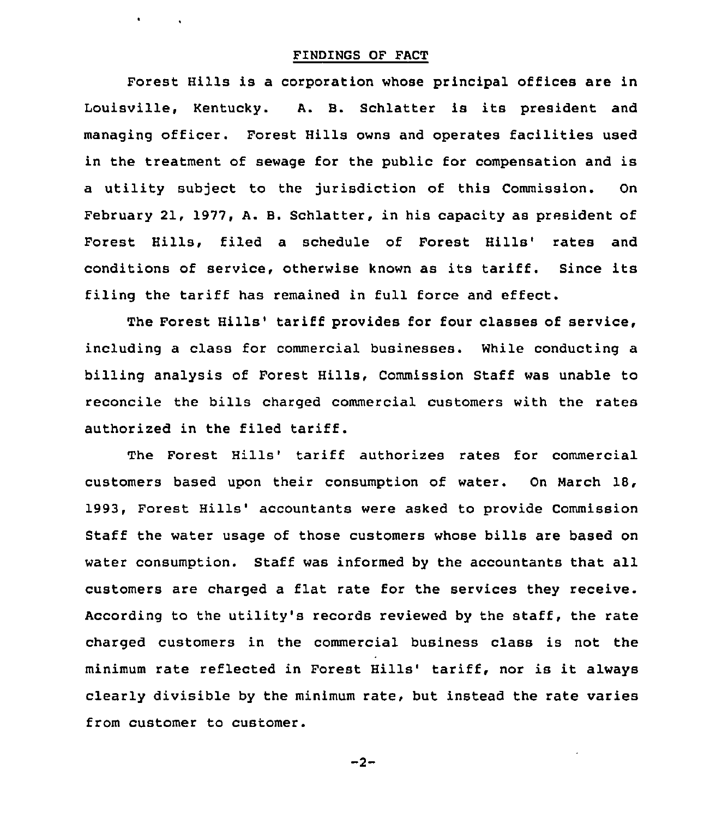# FINDINGS OF PACT

 $\mathbf{A} = \mathbf{A} \times \mathbf{A}$  . The  $\mathbf{A}$ 

Forest Hills is a corporation whose principal offices are in Louisville, Kentucky. A. B. Schlatter is its president and managing officer. Forest Hills owns and operates facilities used in the treatment of sewage for the public for compensation and is a utility subject to the jurisdiction of this Commission. On February 21, 1977, A. B. Schlatter, in his capacity as president of Forest Hills, filed a schedule of Forest Hills' rates and conditions of service, otherwise known as its tariff. Since its filing the tariff has remained in full force and effect.

The Forest Hills' tariff provides for four classes of service, including a class for commercial businesses. While conducting a billing analysis of Forest Hills, Commission Staff was unable to reconcile the bills charged commercial customers with the rates authorized in the filed tariff.

The Forest Hills' tariff authorizes rates for commercial customers based upon their consumption of water. On March 18, 1993, Forest Hills' accountants were asked to provide Commission Staff the water usage of those customers whose bills are based on water consumption. Staff was informed by the accountants that all customers are charged <sup>a</sup> flat rate for the services they receive. According to the utility's records reviewed by the staff, the rate charged customers in the commercial business class is not the minimum rate reflected in Forest Hills' tariff, nor is it always clearly divisible by the minimum rate, but instead the rate varies from customer to customer.

 $-2-$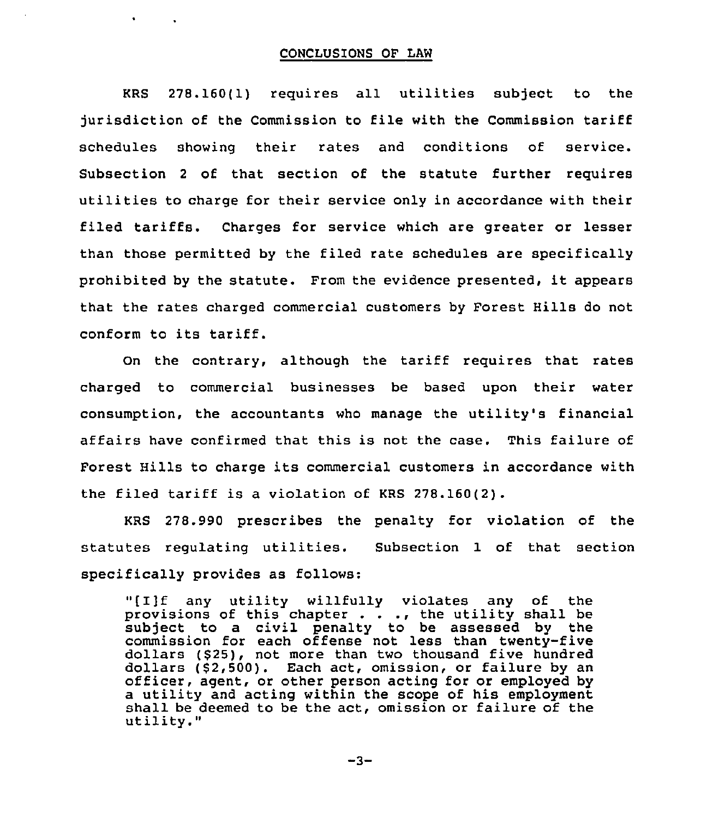## CONCLUSIONS OF LAW

 $\bullet$  .  $\bullet$ 

KRS 278.160(1) requires all utilities subject to the jurisdiction of the Commission to file with the Commission tariff schedules showing their rates and conditions of service. Subsection <sup>2</sup> of that section of the statute further requires utilities to charge for their service only in accordance with their filed tariffs. Charges for service which are greater or lesser than those permitted by the filed rate schedules are specifically prohibited by the statute. From the evidence presented, it appears that the rates charged commercial customers by Forest Hills do not conform to its tariff.

On the contrary, although the tariff requires that rates charged to commercial businesses be based upon their water consumption, the accountants who manage the utility's financial affairs have confirmed that this is not the case. This failure of Forest Hills to charge its commercial customers in accordance with the filed tariff is a violation of KRS 278.160(2).

KRS 278.990 prescribes the penalty for violation of the statutes regulating utilities. Subsection 1 of that section specifically provides as follows:

"[I]f any utility willfully violates any of the provisions of this chapter . . ., the utility shall be provisions of this chapter  $\cdot$   $\cdot$   $\cdot$ , the utility shall be subject to a civil penalty to be assessed by the commission for each offense not less than twenty-five dollars (\$25), not more than two thousand five hundred dollars (\$2,500). Each act, omission, or failure by an officer, agent, or other person acting for or employed by <sup>a</sup> utility and acting within the scope of his employment shall be deemed to be the act, omission or failure of the utility."

 $-3-$